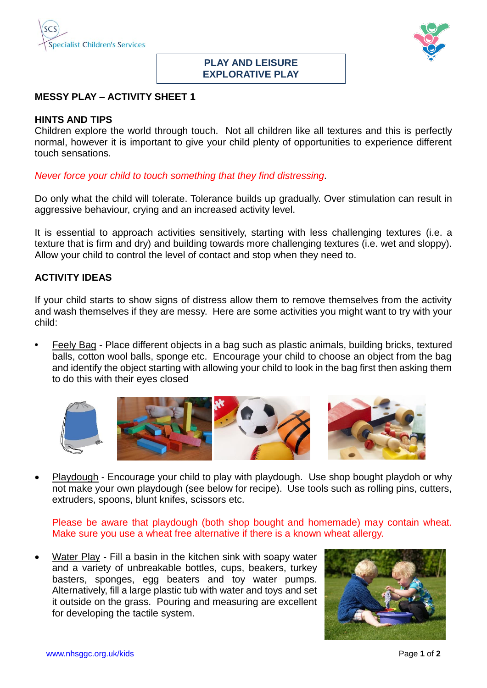



## **PLAY AND LEISURE EXPLORATIVE PLAY**

## **MESSY PLAY – ACTIVITY SHEET 1**

## **HINTS AND TIPS**

Children explore the world through touch. Not all children like all textures and this is perfectly normal, however it is important to give your child plenty of opportunities to experience different touch sensations.

*Never force your child to touch something that they find distressing.*

Do only what the child will tolerate. Tolerance builds up gradually. Over stimulation can result in aggressive behaviour, crying and an increased activity level.

It is essential to approach activities sensitively, starting with less challenging textures (i.e. a texture that is firm and dry) and building towards more challenging textures (i.e. wet and sloppy). Allow your child to control the level of contact and stop when they need to.

## **ACTIVITY IDEAS**

If your child starts to show signs of distress allow them to remove themselves from the activity and wash themselves if they are messy. Here are some activities you might want to try with your child:

**•** Feely Bag - Place different objects in a bag such as plastic animals, building bricks, textured balls, cotton wool balls, sponge etc. Encourage your child to choose an object from the bag and identify the object starting with allowing your child to look in the bag first then asking them to do this with their eyes closed







Playdough - Encourage your child to play with playdough. Use shop bought playdoh or why not make your own playdough (see below for recipe). Use tools such as rolling pins, cutters, extruders, spoons, blunt knifes, scissors etc.

Please be aware that playdough (both shop bought and homemade) may contain wheat. Make sure you use a wheat free alternative if there is a known wheat allergy.

 Water Play - Fill a basin in the kitchen sink with soapy water and a variety of unbreakable bottles, cups, beakers, turkey basters, sponges, egg beaters and toy water pumps. Alternatively, fill a large plastic tub with water and toys and set it outside on the grass. Pouring and measuring are excellent for developing the tactile system.